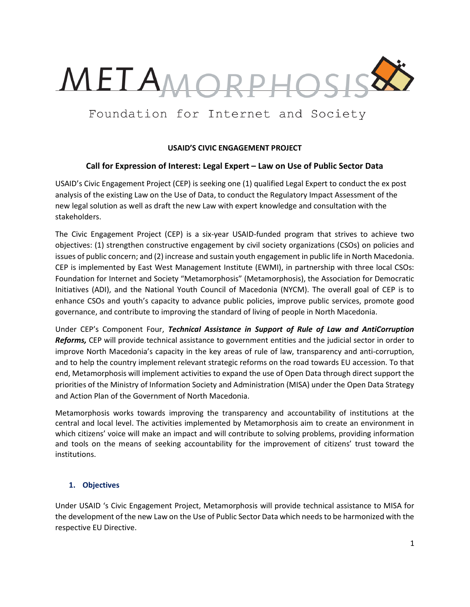

# Foundation for Internet and Society

## USAID'S CIVIC ENGAGEMENT PROJECT

# Call for Expression of Interest: Legal Expert – Law on Use of Public Sector Data

USAID's Civic Engagement Project (CEP) is seeking one (1) qualified Legal Expert to conduct the ex post analysis of the existing Law on the Use of Data, to conduct the Regulatory Impact Assessment of the new legal solution as well as draft the new Law with expert knowledge and consultation with the stakeholders.

The Civic Engagement Project (CEP) is a six-year USAID-funded program that strives to achieve two objectives: (1) strengthen constructive engagement by civil society organizations (CSOs) on policies and issues of public concern; and (2) increase and sustain youth engagement in public life in North Macedonia. CEP is implemented by East West Management Institute (EWMI), in partnership with three local CSOs: Foundation for Internet and Society "Metamorphosis" (Metamorphosis), the Association for Democratic Initiatives (ADI), and the National Youth Council of Macedonia (NYCM). The overall goal of CEP is to enhance CSOs and youth's capacity to advance public policies, improve public services, promote good governance, and contribute to improving the standard of living of people in North Macedonia.

Under CEP's Component Four, Technical Assistance in Support of Rule of Law and AntiCorruption Reforms, CEP will provide technical assistance to government entities and the judicial sector in order to improve North Macedonia's capacity in the key areas of rule of law, transparency and anti-corruption, and to help the country implement relevant strategic reforms on the road towards EU accession. To that end, Metamorphosis will implement activities to expand the use of Open Data through direct support the priorities of the Ministry of Information Society and Administration (MISA) under the Open Data Strategy and Action Plan of the Government of North Macedonia.

Metamorphosis works towards improving the transparency and accountability of institutions at the central and local level. The activities implemented by Metamorphosis aim to create an environment in which citizens' voice will make an impact and will contribute to solving problems, providing information and tools on the means of seeking accountability for the improvement of citizens' trust toward the institutions.

## 1. Objectives

Under USAID 's Civic Engagement Project, Metamorphosis will provide technical assistance to MISA for the development of the new Law on the Use of Public Sector Data which needs to be harmonized with the respective EU Directive.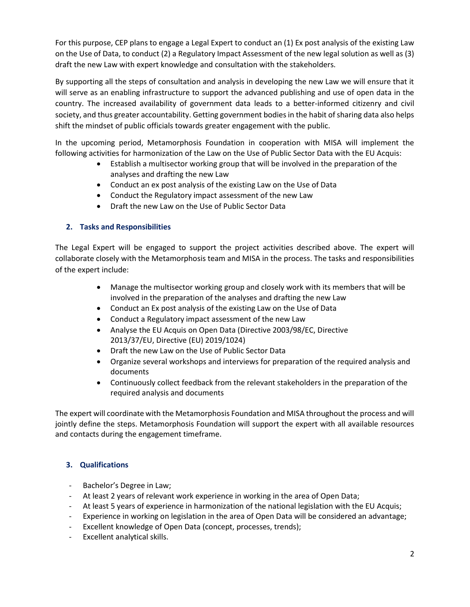For this purpose, CEP plans to engage a Legal Expert to conduct an (1) Ex post analysis of the existing Law on the Use of Data, to conduct (2) a Regulatory Impact Assessment of the new legal solution as well as (3) draft the new Law with expert knowledge and consultation with the stakeholders.

By supporting all the steps of consultation and analysis in developing the new Law we will ensure that it will serve as an enabling infrastructure to support the advanced publishing and use of open data in the country. The increased availability of government data leads to a better-informed citizenry and civil society, and thus greater accountability. Getting government bodies in the habit of sharing data also helps shift the mindset of public officials towards greater engagement with the public.

In the upcoming period, Metamorphosis Foundation in cooperation with MISA will implement the following activities for harmonization of the Law on the Use of Public Sector Data with the EU Acquis:

- Establish a multisector working group that will be involved in the preparation of the analyses and drafting the new Law
- Conduct an ex post analysis of the existing Law on the Use of Data
- Conduct the Regulatory impact assessment of the new Law
- Draft the new Law on the Use of Public Sector Data

# 2. Tasks and Responsibilities

The Legal Expert will be engaged to support the project activities described above. The expert will collaborate closely with the Metamorphosis team and MISA in the process. The tasks and responsibilities of the expert include:

- Manage the multisector working group and closely work with its members that will be involved in the preparation of the analyses and drafting the new Law
- Conduct an Ex post analysis of the existing Law on the Use of Data
- Conduct a Regulatory impact assessment of the new Law
- Analyse the EU Acquis on Open Data (Directive 2003/98/EC, Directive 2013/37/EU, Directive (EU) 2019/1024)
- Draft the new Law on the Use of Public Sector Data
- Organize several workshops and interviews for preparation of the required analysis and documents
- Continuously collect feedback from the relevant stakeholders in the preparation of the required analysis and documents

The expert will coordinate with the Metamorphosis Foundation and MISA throughout the process and will jointly define the steps. Metamorphosis Foundation will support the expert with all available resources and contacts during the engagement timeframe.

# 3. Qualifications

- Bachelor's Degree in Law;
- At least 2 years of relevant work experience in working in the area of Open Data;
- At least 5 years of experience in harmonization of the national legislation with the EU Acquis;
- Experience in working on legislation in the area of Open Data will be considered an advantage;
- Excellent knowledge of Open Data (concept, processes, trends);
- Excellent analytical skills.